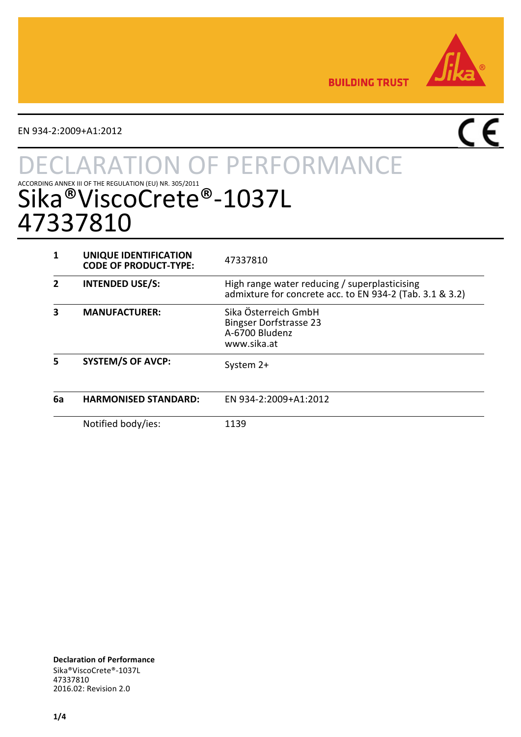

**BUILDING TRUST** 

EN 934-2:2009+A1:2012

# $\overline{\mathsf{CE}}$

# **TON OF PERFORMANCE** ACCORDING ANNEX III OF THE REGULATION (EU) NR. 305/2011  $\odot$  - 1037L 47337810

|    | UNIQUE IDENTIFICATION<br><b>CODE OF PRODUCT-TYPE:</b> | 47337810                                                                                                  |
|----|-------------------------------------------------------|-----------------------------------------------------------------------------------------------------------|
|    | <b>INTENDED USE/S:</b>                                | High range water reducing / superplasticising<br>admixture for concrete acc. to EN 934-2 (Tab. 3.1 & 3.2) |
|    | <b>MANUFACTURER:</b>                                  | Sika Österreich GmbH<br><b>Bingser Dorfstrasse 23</b><br>A-6700 Bludenz<br>www.sika.at                    |
|    | <b>SYSTEM/S OF AVCP:</b>                              | System 2+                                                                                                 |
| 6a | <b>HARMONISED STANDARD:</b>                           | EN 934-2:2009+A1:2012                                                                                     |
|    | Notified body/ies:                                    | 1139                                                                                                      |

**Declaration of Performance** Sika®ViscoCrete®-1037L 47337810 2016.02: Revision 2.0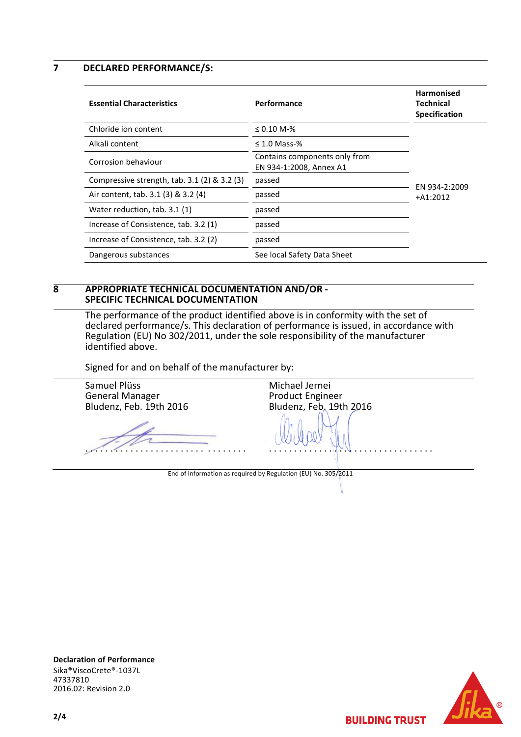**7 DECLARED PERFORMANCE/S:**

| <b>Essential Characteristics</b>                | Performance                                              | <b>Harmonised</b><br>Technical<br><b>Specification</b> |
|-------------------------------------------------|----------------------------------------------------------|--------------------------------------------------------|
| Chloride ion content                            | $\leq 0.10$ M-%                                          |                                                        |
| Alkali content                                  | $\leq$ 1.0 Mass-%                                        |                                                        |
| Corrosion behaviour                             | Contains components only from<br>EN 934-1:2008, Annex A1 |                                                        |
| Compressive strength, $tab. 3.1 (2) \& 3.2 (3)$ | passed                                                   | EN 934-2:2009                                          |
| Air content, tab. 3.1 (3) & 3.2 (4)             | passed                                                   | $+A1:2012$                                             |
| Water reduction, tab. 3.1 (1)                   | passed                                                   |                                                        |
| Increase of Consistence, tab. 3.2 (1)           | passed                                                   |                                                        |
| Increase of Consistence, tab. 3.2 (2)           | passed                                                   |                                                        |
| Dangerous substances                            | See local Safety Data Sheet                              |                                                        |

#### **8 APPROPRIATE TECHNICAL DOCUMENTATION AND/OR - SPECIFIC TECHNICAL DOCUMENTATION**

The performance of the product identified above is in conformity with the set of declared performance/s. This declaration of performance is issued, in accordance with Regulation (EU) No 302/2011, under the sole responsibility of the manufacturer identified above.

Signed for and on behalf of the manufacturer by:

Samuel Plüss General Manager Bludenz, Feb. 19th 2016 . . . . . . . . . . . . . . . . . . . . . . . . . . . . . . . . Michael Jernei Product Engineer Bludenz, Feb. 19th 2016 . . . . . . . . . . . . . . . . . . . . . . . . . . . . . . . . . End of information as required by Regulation (EU) No. 305/2011





**BUILDING TRUST**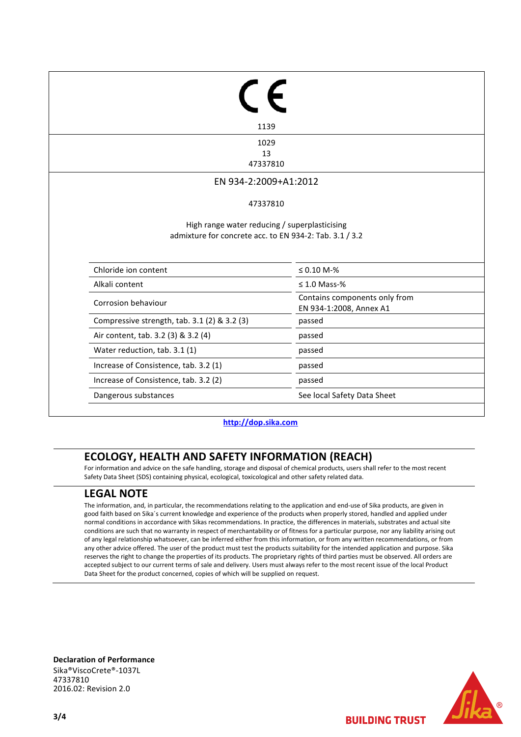| 1139                                                    |                                                          |
|---------------------------------------------------------|----------------------------------------------------------|
| 1029                                                    |                                                          |
| 13<br>47337810                                          |                                                          |
| EN 934-2:2009+A1:2012                                   |                                                          |
|                                                         |                                                          |
| 47337810                                                |                                                          |
|                                                         |                                                          |
| admixture for concrete acc. to EN 934-2: Tab. 3.1 / 3.2 | High range water reducing / superplasticising            |
| Chloride ion content                                    | $≤ 0.10 M-%$                                             |
| Alkali content                                          | $\leq 1.0$ Mass-%                                        |
| Corrosion behaviour                                     | Contains components only from<br>EN 934-1:2008, Annex A1 |
| Compressive strength, tab. 3.1 (2) & 3.2 (3)            | passed                                                   |
| Air content, tab. 3.2 (3) & 3.2 (4)                     | passed                                                   |
| Water reduction, tab. 3.1 (1)                           | passed                                                   |
| Increase of Consistence, tab. 3.2 (1)                   | passed                                                   |
| Increase of Consistence, tab. 3.2 (2)                   | passed                                                   |

**[http://dop.sika.com](http://dop.sika.com/)**

## **ECOLOGY, HEALTH AND SAFETY INFORMATION (REACH)**

For information and advice on the safe handling, storage and disposal of chemical products, users shall refer to the most recent Safety Data Sheet (SDS) containing physical, ecological, toxicological and other safety related data.

### **LEGAL NOTE**

The information, and, in particular, the recommendations relating to the application and end-use of Sika products, are given in good faith based on Sika´s current knowledge and experience of the products when properly stored, handled and applied under normal conditions in accordance with Sikas recommendations. In practice, the differences in materials, substrates and actual site conditions are such that no warranty in respect of merchantability or of fitness for a particular purpose, nor any liability arising out of any legal relationship whatsoever, can be inferred either from this information, or from any written recommendations, or from any other advice offered. The user of the product must test the products suitability for the intended application and purpose. Sika reserves the right to change the properties of its products. The proprietary rights of third parties must be observed. All orders are accepted subject to our current terms of sale and delivery. Users must always refer to the most recent issue of the local Product Data Sheet for the product concerned, copies of which will be supplied on request.

**Declaration of Performance** Sika®ViscoCrete®-1037L 47337810 2016.02: Revision 2.0